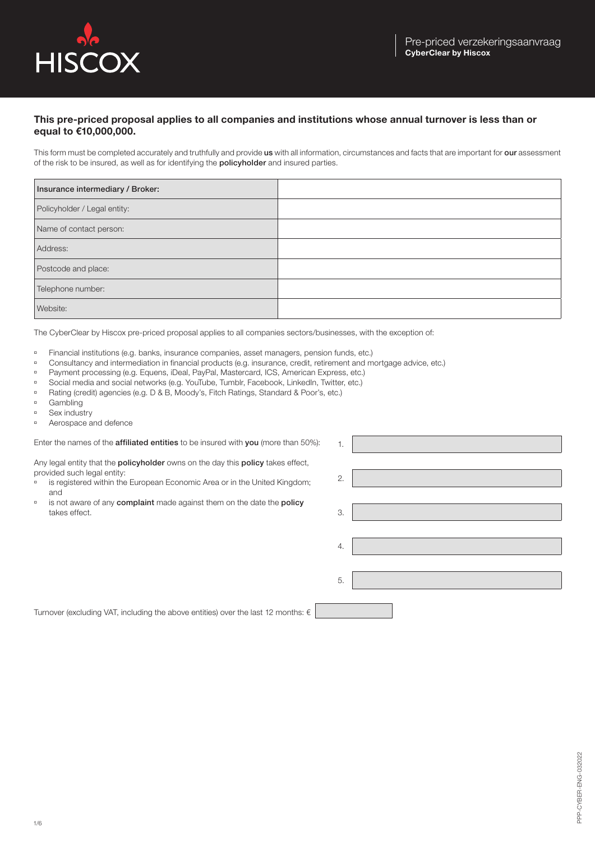

## **This pre-priced proposal applies to all companies and institutions whose annual turnover is less than or equal to €10,000,000.**

This form must be completed accurately and truthfully and provide us with all information, circumstances and facts that are important for our assessment of the risk to be insured, as well as for identifying the policyholder and insured parties.

| Insurance intermediary / Broker: |  |
|----------------------------------|--|
| Policyholder / Legal entity:     |  |
| Name of contact person:          |  |
| Address:                         |  |
| Postcode and place:              |  |
| Telephone number:                |  |
| Website:                         |  |

1.

The CyberClear by Hiscox pre-priced proposal applies to all companies sectors/businesses, with the exception of:

- ú Financial institutions (e.g. banks, insurance companies, asset managers, pension funds, etc.)
- ú Consultancy and intermediation in financial products (e.g. insurance, credit, retirement and mortgage advice, etc.)
- **Payment processing (e.g. Equens, iDeal, PayPal, Mastercard, ICS, American Express, etc.)**
- <sup>n</sup> Social media and social networks (e.g. YouTube, Tumblr, Facebook, LinkedIn, Twitter, etc.)
- <sup>n</sup> Rating (credit) agencies (e.g. D & B, Moody's, Fitch Ratings, Standard & Poor's, etc.)
- <sup>n</sup> Gambling
- $S$ ex industry
- <sup>□</sup> Aerospace and defence

Enter the names of the **affiliated entities** to be insured with you (more than 50%):

Any legal entity that the policyholder owns on the day this policy takes effect, provided such legal entity:

- is registered within the European Economic Area or in the United Kingdom; and
- is not aware of any complaint made against them on the date the policy takes effect.

| 2. |  |
|----|--|
| 3. |  |
| 4. |  |
| 5. |  |
|    |  |

Turnover (excluding VAT, including the above entities) over the last 12 months:  $\epsilon$  |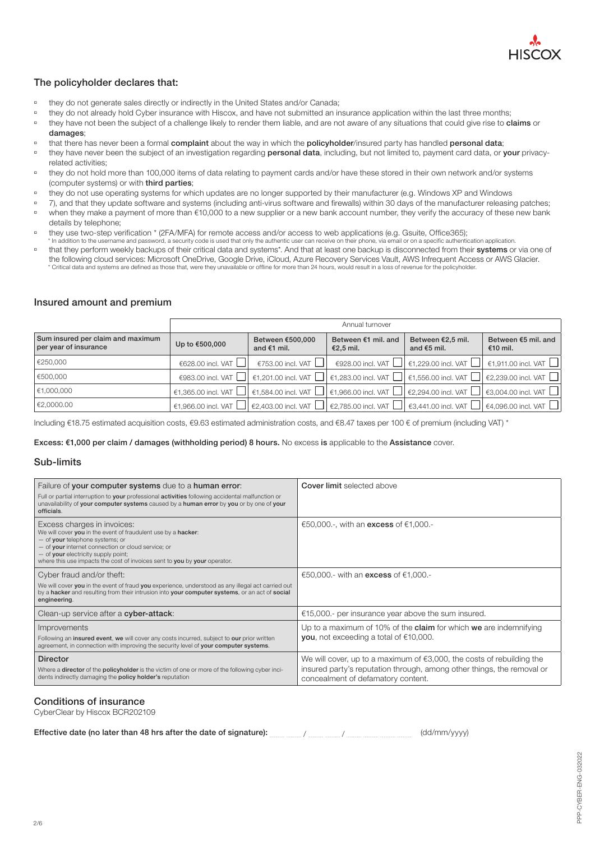

## The policyholder declares that:

- <sup>n</sup> they do not generate sales directly or indirectly in the United States and/or Canada;
- <sup>n</sup> they do not already hold Cyber insurance with Hiscox, and have not submitted an insurance application within the last three months;
- <sup>n</sup> they have not been the subject of a challenge likely to render them liable, and are not aware of any situations that could give rise to claims or damages;
- that there has never been a formal complaint about the way in which the policyholder/insured party has handled personal data;
- <sup>n</sup> they have never been the subject of an investigation regarding personal data, including, but not limited to, payment card data, or your privacyrelated activities;
- <sup>n</sup> they do not hold more than 100,000 items of data relating to payment cards and/or have these stored in their own network and/or systems (computer systems) or with third parties;
- ú they do not use operating systems for which updates are no longer supported by their manufacturer (e.g. Windows XP and Windows
- <sup>1</sup> 7), and that they update software and systems (including anti-virus software and firewalls) within 30 days of the manufacturer releasing patches; ú when they make a payment of more than €10,000 to a new supplier or a new bank account number, they verify the accuracy of these new bank details by telephone;
- they use two-step verification \* (2FA/MFA) for remote access and/or access to web applications (e.g. Gsuite, Office365);
- \* In addition to the username and password, a security code is used that only the authentic user can receive on their phone, via email or on a specific authentication application. <sup>n</sup> that they perform weekly backups of their critical data and systems\*. And that at least one backup is disconnected from their systems or via one of the following cloud services: Microsoft OneDrive, Google Drive, iCloud, Azure Recovery Services Vault, AWS Infrequent Access or AWS Glacier. \* Critical data and systems are defined as those that, were they unavailable or offline for more than 24 hours, would result in a loss of revenue for the policyholder.

## Insured amount and premium

|                                                            | Annual turnover   |                                   |                                                                                                                                                                                |                                    |                                                                                                                                        |
|------------------------------------------------------------|-------------------|-----------------------------------|--------------------------------------------------------------------------------------------------------------------------------------------------------------------------------|------------------------------------|----------------------------------------------------------------------------------------------------------------------------------------|
| Sum insured per claim and maximum<br>per year of insurance | Up to €500,000    | Between €500,000<br>and $€1$ mil. | Between €1 mil. and<br>€2,5 mil.                                                                                                                                               | Between €2,5 mil.<br>and $€5$ mil. | Between €5 mil. and<br>€10 mil.                                                                                                        |
| €250,000                                                   | €628.00 incl. VAT | €753.00 incl. VAT $\Box$          |                                                                                                                                                                                |                                    | €928.00 incl. VAT $\Box$ €1,229.00 incl. VAT $\Box$ €1,911.00 incl. VAT $\Box$                                                         |
| €500,000                                                   |                   |                                   |                                                                                                                                                                                |                                    | €983.00 incl. VAT $\Box$ €1,201.00 incl. VAT $\Box$ €1,283.00 incl. VAT $\Box$ €1,556.00 incl. VAT $\Box$ €2,239.00 incl. VAT $\Box$   |
| €1,000,000                                                 |                   |                                   |                                                                                                                                                                                |                                    | €1,365.00 incl. VAT $\Box$ €1,584.00 incl. VAT $\Box$ €1,966.00 incl. VAT $\Box$ €2,294.00 incl. VAT $\Box$ €3,004.00 incl. VAT $\Box$ |
| €2,0000.00                                                 |                   |                                   | €1,966.00 incl. VAT $\Box$ $\epsilon$ 2,403.00 incl. VAT $\Box$ $\epsilon$ 2,785.00 incl. VAT $\Box$ $\epsilon$ 3,441.00 incl. VAT $\Box$ $\epsilon$ 4,096.00 incl. VAT $\Box$ |                                    |                                                                                                                                        |

Including €18.75 estimated acquisition costs, €9.63 estimated administration costs, and €8.47 taxes per 100 € of premium (including VAT) \*

Excess: €1,000 per claim / damages (withholding period) 8 hours. No excess is applicable to the Assistance cover.

## Sub-limits

| Failure of your computer systems due to a human error:                                                                                                                                                                                                                                                    | <b>Cover limit</b> selected above                                                                                                                                                        |
|-----------------------------------------------------------------------------------------------------------------------------------------------------------------------------------------------------------------------------------------------------------------------------------------------------------|------------------------------------------------------------------------------------------------------------------------------------------------------------------------------------------|
| Full or partial interruption to your professional activities following accidental malfunction or<br>unavailability of your computer systems caused by a human error by you or by one of your<br>officials.                                                                                                |                                                                                                                                                                                          |
| Excess charges in invoices:<br>We will cover you in the event of fraudulent use by a hacker:<br>- of your telephone systems; or<br>- of your internet connection or cloud service; or<br>- of your electricity supply point;<br>where this use impacts the cost of invoices sent to you by your operator. | €50,000.-, with an <b>excess</b> of €1,000.-                                                                                                                                             |
| Cyber fraud and/or theft:                                                                                                                                                                                                                                                                                 | €50,000.- with an <b>excess</b> of €1,000.-                                                                                                                                              |
| We will cover you in the event of fraud you experience, understood as any illegal act carried out<br>by a hacker and resulting from their intrusion into your computer systems, or an act of social<br>engineering.                                                                                       |                                                                                                                                                                                          |
| Clean-up service after a cyber-attack:                                                                                                                                                                                                                                                                    | €15,000.- per insurance year above the sum insured.                                                                                                                                      |
| Improvements<br>Following an insured event, we will cover any costs incurred, subject to our prior written<br>agreement, in connection with improving the security level of your computer systems.                                                                                                        | Up to a maximum of 10% of the <b>claim</b> for which <b>we</b> are indemnifying<br>you, not exceeding a total of $€10,000$ .                                                             |
| <b>Director</b><br>Where a director of the policyholder is the victim of one or more of the following cyber inci-<br>dents indirectly damaging the <b>policy holder's</b> reputation                                                                                                                      | We will cover, up to a maximum of $€3,000$ , the costs of rebuilding the<br>insured party's reputation through, among other things, the removal or<br>concealment of defamatory content. |

## Conditions of insurance

CyberClear by Hiscox BCR202109

| Effective date (no later than 48 hrs after the date of signature): | (dd/mm/yyyy) |
|--------------------------------------------------------------------|--------------|
|--------------------------------------------------------------------|--------------|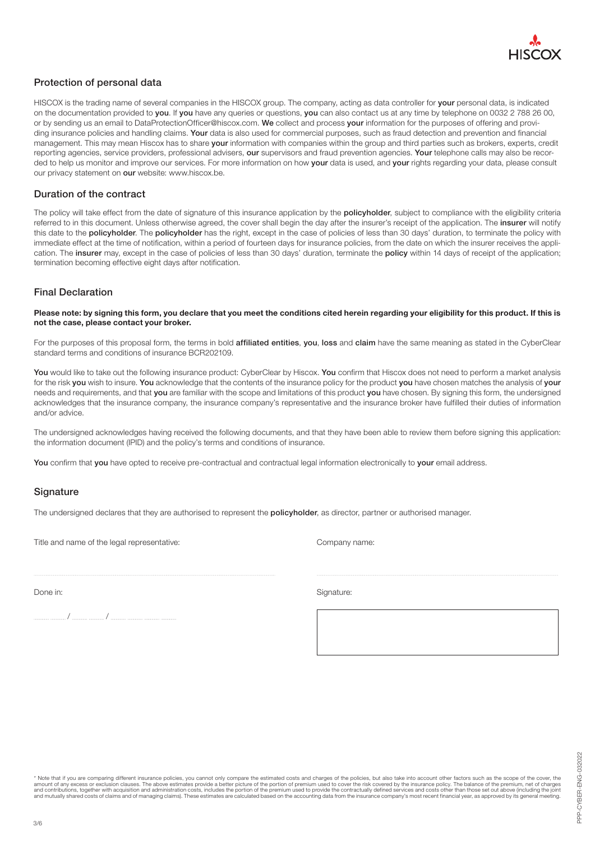

## Protection of personal data

HISCOX is the trading name of several companies in the HISCOX group. The company, acting as data controller for your personal data, is indicated on the documentation provided to you. If you have any queries or questions, you can also contact us at any time by telephone on 0032 2 788 26 00, or by sending us an email to DataProtectionOfficer@hiscox.com. We collect and process your information for the purposes of offering and providing insurance policies and handling claims. Your data is also used for commercial purposes, such as fraud detection and prevention and financial management. This may mean Hiscox has to share your information with companies within the group and third parties such as brokers, experts, credit reporting agencies, service providers, professional advisers, our supervisors and fraud prevention agencies. Your telephone calls may also be recorded to help us monitor and improve our services. For more information on how your data is used, and your rights regarding your data, please consult our privacy statement on our website: www.hiscox.be.

## Duration of the contract

The policy will take effect from the date of signature of this insurance application by the policyholder, subject to compliance with the eligibility criteria referred to in this document. Unless otherwise agreed, the cover shall begin the day after the insurer's receipt of the application. The insurer will notify this date to the **policyholder**. The **policyholder** has the right, except in the case of policies of less than 30 days' duration, to terminate the policy with immediate effect at the time of notification, within a period of fourteen days for insurance policies, from the date on which the insurer receives the application. The insurer may, except in the case of policies of less than 30 days' duration, terminate the policy within 14 days of receipt of the application; termination becoming effective eight days after notification.

## Final Declaration

#### **Please note: by signing this form, you declare that you meet the conditions cited herein regarding your eligibility for this product. If this is not the case, please contact your broker.**

For the purposes of this proposal form, the terms in bold affiliated entities, you, loss and claim have the same meaning as stated in the CyberClear standard terms and conditions of insurance BCR202109.

You would like to take out the following insurance product: CyberClear by Hiscox. You confirm that Hiscox does not need to perform a market analysis for the risk you wish to insure. You acknowledge that the contents of the insurance policy for the product you have chosen matches the analysis of your needs and requirements, and that you are familiar with the scope and limitations of this product you have chosen. By signing this form, the undersigned acknowledges that the insurance company, the insurance company's representative and the insurance broker have fulfilled their duties of information and/or advice.

The undersigned acknowledges having received the following documents, and that they have been able to review them before signing this application: the information document (IPID) and the policy's terms and conditions of insurance.

You confirm that you have opted to receive pre-contractual and contractual legal information electronically to your email address.

### **Signature**

The undersigned declares that they are authorised to represent the **policyholder**, as director, partner or authorised manager.

Title and name of the legal representative: Company name:

Done in: Signature: Signature: Signature: Signature: Signature: Signature: Signature: Signature: Signature: Signature: Signature: Signature: Signature: Signature: Signature: Signature: Signature: Signature: Signature: Sign

/ /

\* Note that if you are comparing different insurance policies, you cannot only compare the estimated costs and charges of the policies, but also take into account other factors such as the scope of the cover, the mount of